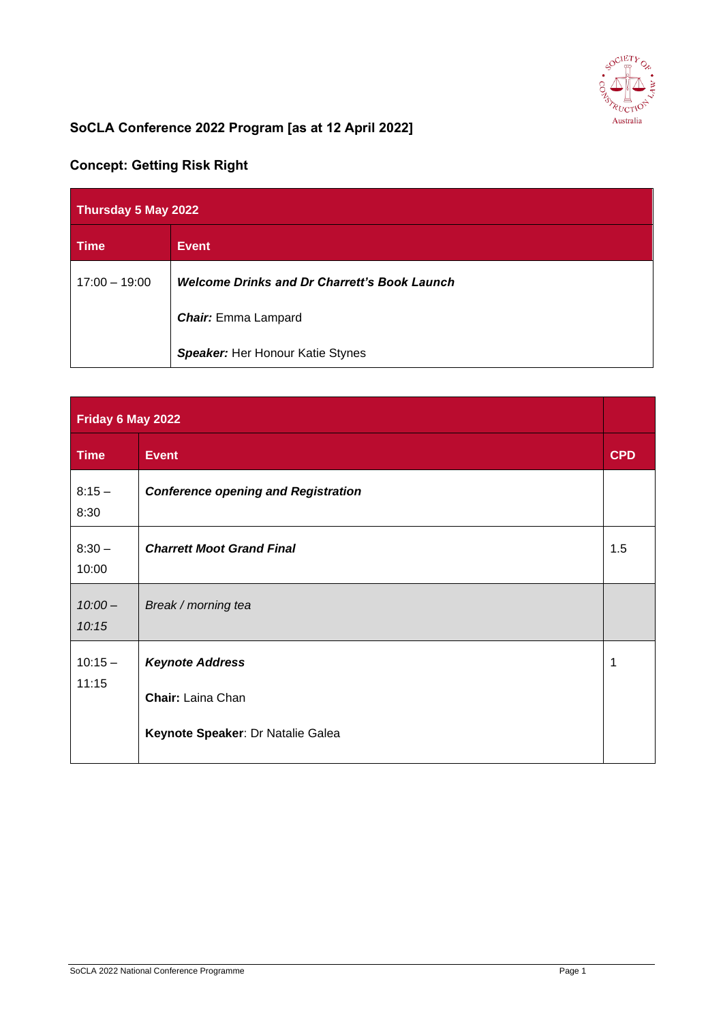

## **SoCLA Conference 2022 Program [as at 12 April 2022]**

## **Concept: Getting Risk Right**

| Thursday 5 May 2022 |                                                     |  |
|---------------------|-----------------------------------------------------|--|
| <b>Time</b>         | <b>Event</b>                                        |  |
| $17:00 - 19:00$     | <b>Welcome Drinks and Dr Charrett's Book Launch</b> |  |
|                     | <b>Chair:</b> Emma Lampard                          |  |
|                     | <b>Speaker:</b> Her Honour Katie Stynes             |  |

| Friday 6 May 2022  |                                                    |            |
|--------------------|----------------------------------------------------|------------|
| <b>Time</b>        | <b>Event</b>                                       | <b>CPD</b> |
| $8:15 -$<br>8:30   | <b>Conference opening and Registration</b>         |            |
| $8:30 -$<br>10:00  | <b>Charrett Moot Grand Final</b>                   | 1.5        |
| $10:00 -$<br>10:15 | Break / morning tea                                |            |
| $10:15 -$<br>11:15 | <b>Keynote Address</b><br><b>Chair:</b> Laina Chan | 1          |
|                    | Keynote Speaker: Dr Natalie Galea                  |            |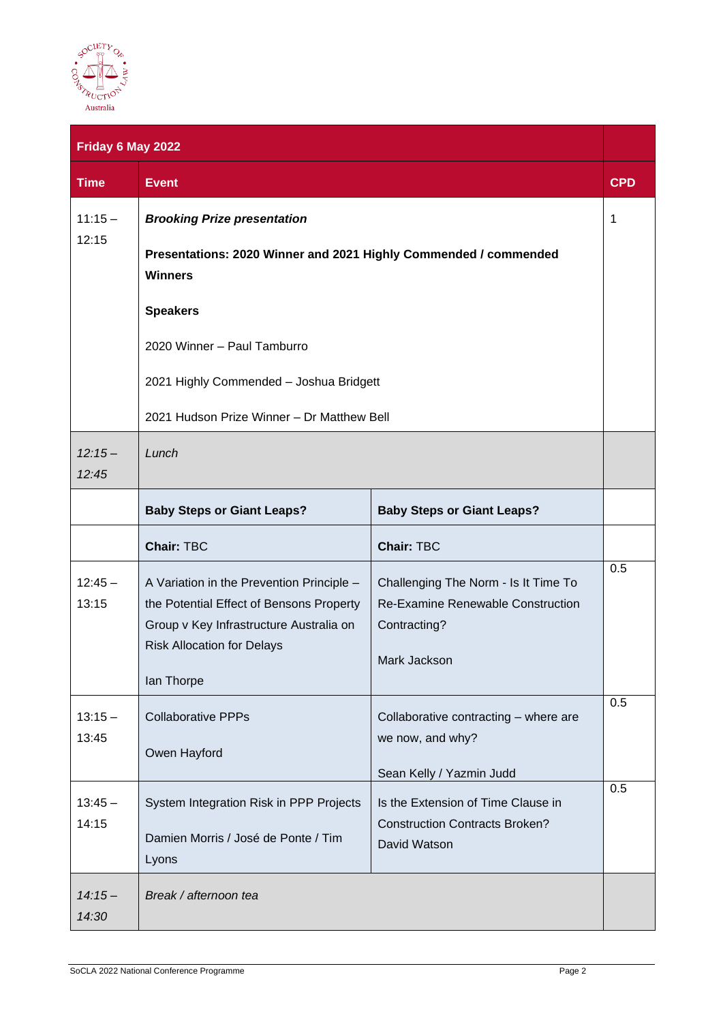

|                    | Friday 6 May 2022                                                                                                                                                     |                                                                                             |            |
|--------------------|-----------------------------------------------------------------------------------------------------------------------------------------------------------------------|---------------------------------------------------------------------------------------------|------------|
| <b>Time</b>        | <b>Event</b>                                                                                                                                                          |                                                                                             | <b>CPD</b> |
| $11:15 -$<br>12:15 | <b>Brooking Prize presentation</b>                                                                                                                                    |                                                                                             | 1          |
|                    | Presentations: 2020 Winner and 2021 Highly Commended / commended<br><b>Winners</b>                                                                                    |                                                                                             |            |
|                    | <b>Speakers</b>                                                                                                                                                       |                                                                                             |            |
|                    | 2020 Winner - Paul Tamburro                                                                                                                                           |                                                                                             |            |
|                    | 2021 Highly Commended - Joshua Bridgett                                                                                                                               |                                                                                             |            |
|                    | 2021 Hudson Prize Winner - Dr Matthew Bell                                                                                                                            |                                                                                             |            |
| $12:15-$<br>12:45  | Lunch                                                                                                                                                                 |                                                                                             |            |
|                    | <b>Baby Steps or Giant Leaps?</b>                                                                                                                                     | <b>Baby Steps or Giant Leaps?</b>                                                           |            |
|                    | <b>Chair: TBC</b>                                                                                                                                                     | <b>Chair: TBC</b>                                                                           |            |
| $12:45 -$<br>13:15 | A Variation in the Prevention Principle -<br>the Potential Effect of Bensons Property<br>Group v Key Infrastructure Australia on<br><b>Risk Allocation for Delays</b> | Challenging The Norm - Is It Time To<br>Re-Examine Renewable Construction<br>Contracting?   | 0.5        |
|                    | lan Thorpe                                                                                                                                                            | Mark Jackson                                                                                |            |
| $13:15 -$<br>13:45 | <b>Collaborative PPPs</b><br>Owen Hayford                                                                                                                             | Collaborative contracting - where are<br>we now, and why?<br>Sean Kelly / Yazmin Judd       | 0.5        |
| $13:45 -$<br>14:15 | System Integration Risk in PPP Projects<br>Damien Morris / José de Ponte / Tim<br>Lyons                                                                               | Is the Extension of Time Clause in<br><b>Construction Contracts Broken?</b><br>David Watson | 0.5        |
| $14:15-$<br>14:30  | Break / afternoon tea                                                                                                                                                 |                                                                                             |            |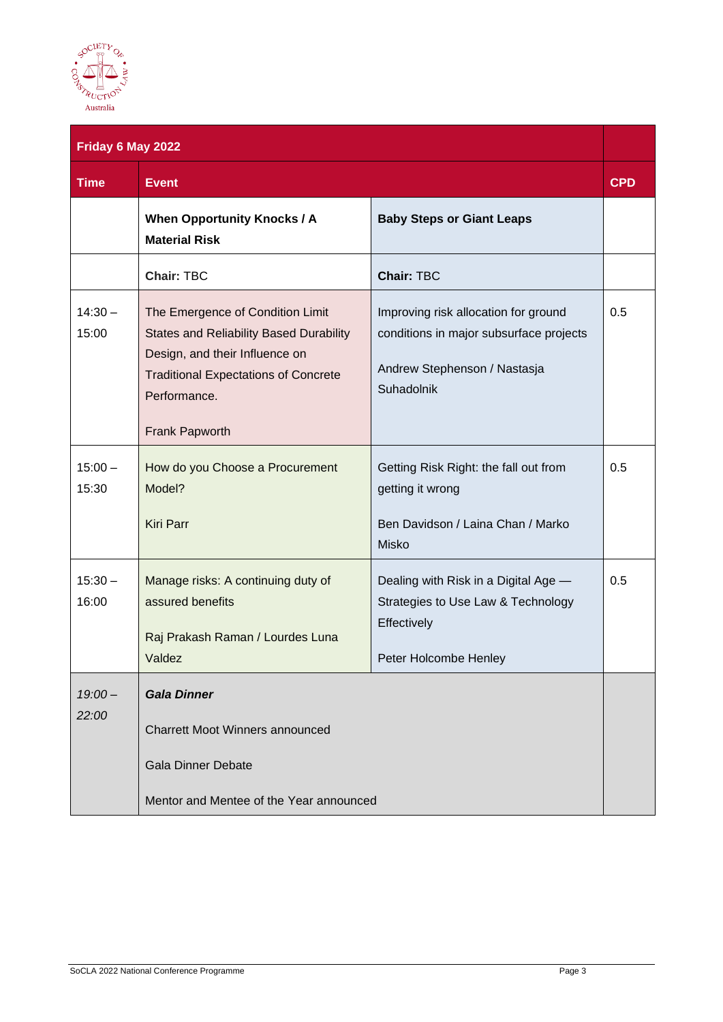

|                    | Friday 6 May 2022                                                                                                                                                                                     |                                                                                                                               |            |
|--------------------|-------------------------------------------------------------------------------------------------------------------------------------------------------------------------------------------------------|-------------------------------------------------------------------------------------------------------------------------------|------------|
| <b>Time</b>        | <b>Event</b>                                                                                                                                                                                          |                                                                                                                               | <b>CPD</b> |
|                    | <b>When Opportunity Knocks / A</b><br><b>Material Risk</b>                                                                                                                                            | <b>Baby Steps or Giant Leaps</b>                                                                                              |            |
|                    | <b>Chair: TBC</b>                                                                                                                                                                                     | <b>Chair: TBC</b>                                                                                                             |            |
| $14:30 -$<br>15:00 | The Emergence of Condition Limit<br><b>States and Reliability Based Durability</b><br>Design, and their Influence on<br><b>Traditional Expectations of Concrete</b><br>Performance.<br>Frank Papworth | Improving risk allocation for ground<br>conditions in major subsurface projects<br>Andrew Stephenson / Nastasja<br>Suhadolnik | 0.5        |
| $15:00 -$<br>15:30 | How do you Choose a Procurement<br>Model?<br><b>Kiri Parr</b>                                                                                                                                         | Getting Risk Right: the fall out from<br>getting it wrong<br>Ben Davidson / Laina Chan / Marko<br><b>Misko</b>                | 0.5        |
| $15:30 -$<br>16:00 | Manage risks: A continuing duty of<br>assured benefits<br>Raj Prakash Raman / Lourdes Luna<br>Valdez                                                                                                  | Dealing with Risk in a Digital Age -<br>Strategies to Use Law & Technology<br>Effectively<br>Peter Holcombe Henley            | 0.5        |
| $19:00 -$<br>22:00 | <b>Gala Dinner</b><br><b>Charrett Moot Winners announced</b><br><b>Gala Dinner Debate</b><br>Mentor and Mentee of the Year announced                                                                  |                                                                                                                               |            |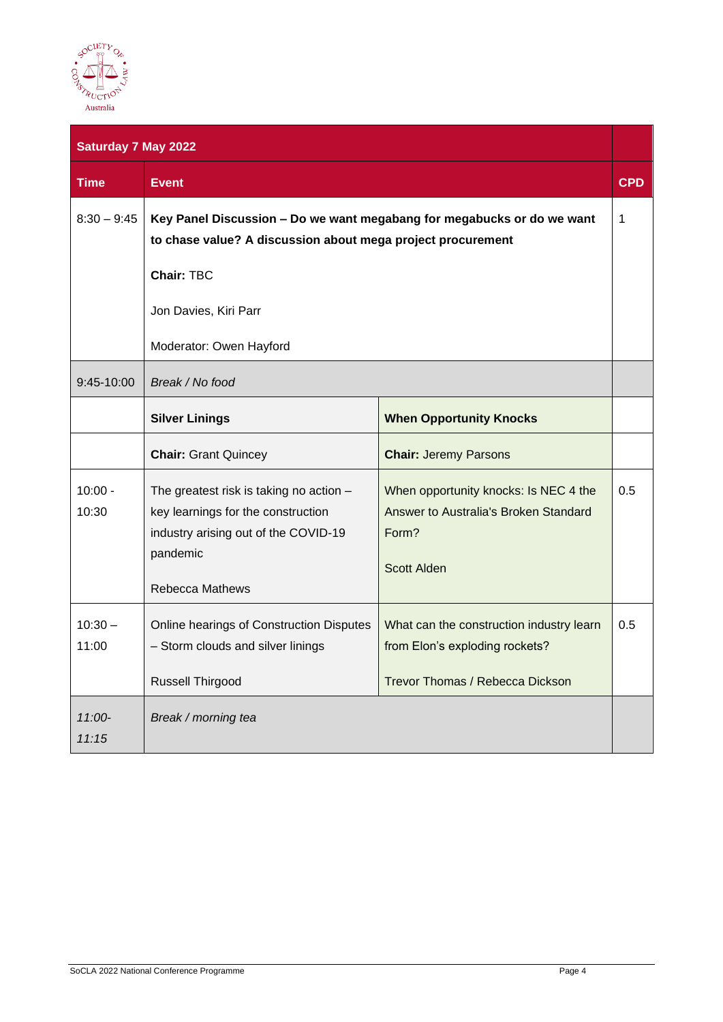

| <b>Saturday 7 May 2022</b> |                                                                                                                                                                                     |                                                                                                               |            |
|----------------------------|-------------------------------------------------------------------------------------------------------------------------------------------------------------------------------------|---------------------------------------------------------------------------------------------------------------|------------|
| <b>Time</b>                | <b>Event</b>                                                                                                                                                                        |                                                                                                               | <b>CPD</b> |
| $8:30 - 9:45$              | Key Panel Discussion - Do we want megabang for megabucks or do we want<br>to chase value? A discussion about mega project procurement<br><b>Chair: TBC</b><br>Jon Davies, Kiri Parr |                                                                                                               | 1          |
|                            | Moderator: Owen Hayford                                                                                                                                                             |                                                                                                               |            |
| 9:45-10:00                 | Break / No food                                                                                                                                                                     |                                                                                                               |            |
|                            | <b>Silver Linings</b>                                                                                                                                                               | <b>When Opportunity Knocks</b>                                                                                |            |
|                            | <b>Chair: Grant Quincey</b>                                                                                                                                                         | <b>Chair: Jeremy Parsons</b>                                                                                  |            |
| $10:00 -$<br>10:30         | The greatest risk is taking no action -<br>key learnings for the construction<br>industry arising out of the COVID-19<br>pandemic<br><b>Rebecca Mathews</b>                         | When opportunity knocks: Is NEC 4 the<br>Answer to Australia's Broken Standard<br>Form?<br><b>Scott Alden</b> | 0.5        |
| $10:30 -$<br>11:00         | Online hearings of Construction Disputes<br>- Storm clouds and silver linings<br>Russell Thirgood                                                                                   | What can the construction industry learn<br>from Elon's exploding rockets?<br>Trevor Thomas / Rebecca Dickson | 0.5        |
| $11:00-$<br>11:15          | Break / morning tea                                                                                                                                                                 |                                                                                                               |            |